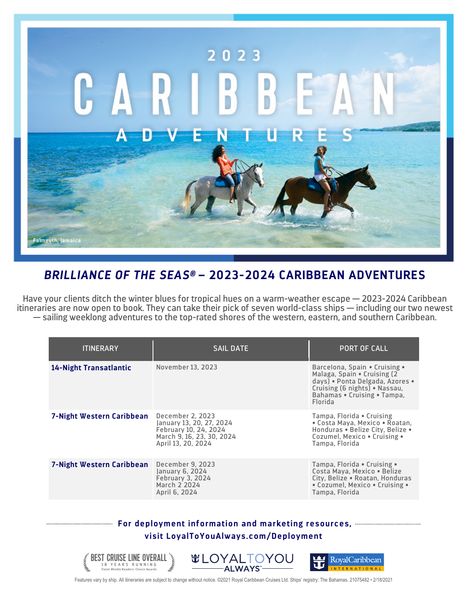

## *BRILLIANCE OF THE SEAS®* **– 2023-2024 CARIBBEAN ADVENTURES**

Have your clients ditch the winter blues for tropical hues on a warm-weather escape — 2023-2024 Caribbean itineraries are now open to book. They can take their pick of seven world-class ships — including our two newest — sailing weeklong adventures to the top-rated shores of the western, eastern, and southern Caribbean.

| <b>ITINERARY</b>          | <b>SAIL DATE</b>                                                                                                         | PORT OF CALL                                                                                                                                                                |
|---------------------------|--------------------------------------------------------------------------------------------------------------------------|-----------------------------------------------------------------------------------------------------------------------------------------------------------------------------|
| 14-Night Transatlantic    | November 13, 2023                                                                                                        | Barcelona, Spain • Cruising •<br>Malaga, Spain • Cruising (2)<br>days) · Ponta Delgada, Azores ·<br>Cruising (6 nights) • Nassau,<br>Bahamas • Cruising • Tampa,<br>Florida |
| 7-Night Western Caribbean | December 2, 2023<br>January 13, 20, 27, 2024<br>February 10, 24, 2024<br>March 9, 16, 23, 30, 2024<br>April 13, 20, 2024 | Tampa, Florida • Cruising<br>· Costa Maya, Mexico · Roatan,<br>Honduras . Belize City, Belize .<br>Cozumel, Mexico . Cruising .<br>Tampa, Florida                           |
| 7-Night Western Caribbean | December 9, 2023<br>January 6, 2024<br>February 3, 2024<br>March 2 2024<br>April 6, 2024                                 | Tampa, Florida • Cruising •<br>Costa Maya, Mexico . Belize<br>City, Belize . Roatan, Honduras<br>• Cozumel, Mexico • Cruising •<br>Tampa, Florida                           |

## **For deployment information and marketing resources, visit LoyalToYouAlways.com/Deployment**



Features vary by ship. All itineraries are subject to change without notice. ©2021 Royal Caribbean Cruises Ltd. Ships' registry: The Bahamas. 21075482 • 2/18/2021